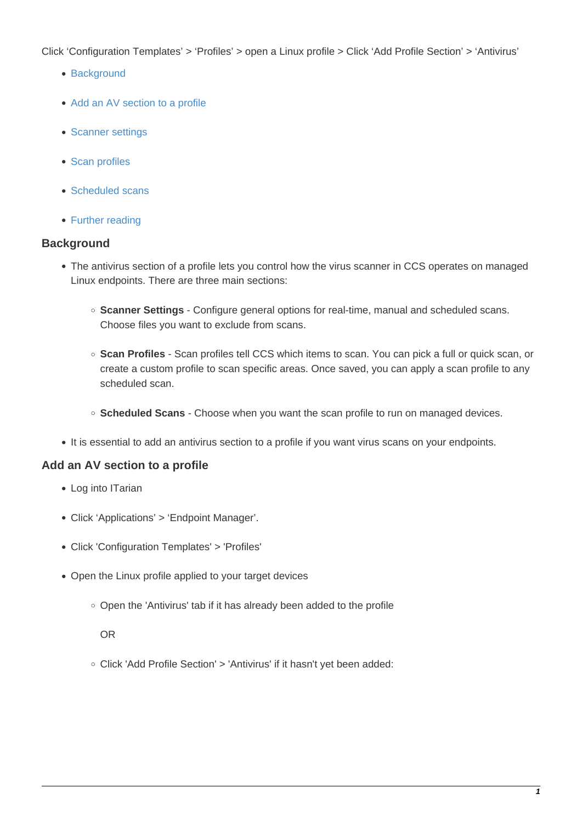Click 'Configuration Templates' > 'Profiles' > open a Linux profile > Click 'Add Profile Section' > 'Antivirus'

- [Background](#page-0-0)
- [Add an AV section to a profile](#page-0-1)
- [Scanner settings](#page-1-0)
- [Scan profiles](#page-7-0)
- [Scheduled scans](#page-10-0)
- [Further reading](#page-13-0)

#### <span id="page-0-0"></span>**Background**

- The antivirus section of a profile lets you control how the virus scanner in CCS operates on managed Linux endpoints. There are three main sections:
	- **Scanner Settings** Configure general options for real-time, manual and scheduled scans. Choose files you want to exclude from scans.
	- **Scan Profiles** Scan profiles tell CCS which items to scan. You can pick a full or quick scan, or create a custom profile to scan specific areas. Once saved, you can apply a scan profile to any scheduled scan.
	- **Scheduled Scans** Choose when you want the scan profile to run on managed devices.
- It is essential to add an antivirus section to a profile if you want virus scans on your endpoints.

#### <span id="page-0-1"></span>**Add an AV section to a profile**

- Log into ITarian
- Click 'Applications' > 'Endpoint Manager'.
- Click 'Configuration Templates' > 'Profiles'
- Open the Linux profile applied to your target devices
	- Open the 'Antivirus' tab if it has already been added to the profile

OR

Click 'Add Profile Section' > 'Antivirus' if it hasn't yet been added: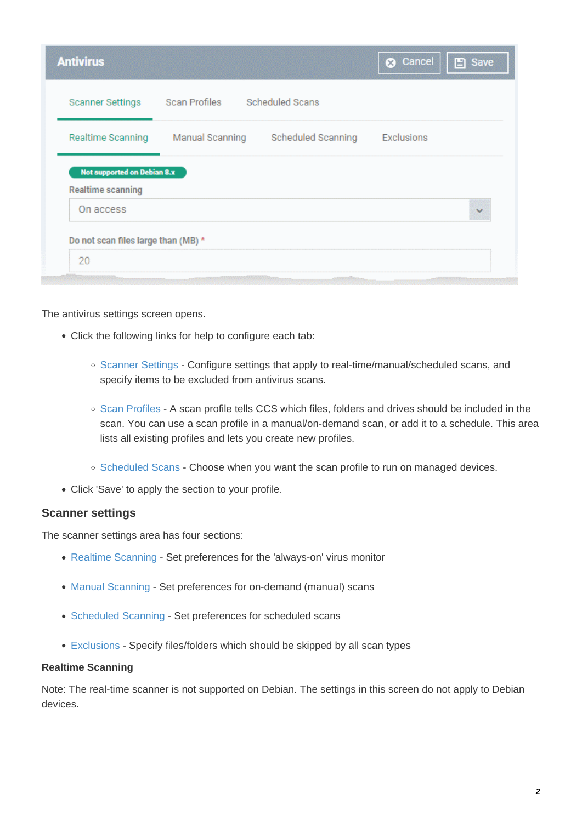| <b>Antivirus</b>                                        |                 |                    | <b>@</b> Cancel   | Save<br>P                |
|---------------------------------------------------------|-----------------|--------------------|-------------------|--------------------------|
| <b>Scanner Settings</b>                                 | Scan Profiles   | Scheduled Scans    |                   |                          |
| Realtime Scanning                                       | Manual Scanning | Scheduled Scanning | <b>Exclusions</b> |                          |
|                                                         |                 |                    |                   |                          |
| Not supported on Debian 8.x<br><b>Realtime scanning</b> |                 |                    |                   |                          |
| On access                                               |                 |                    |                   | $\overline{\phantom{a}}$ |
| Do not scan files large than (MB) *                     |                 |                    |                   |                          |

The antivirus settings screen opens.

- Click the following links for help to configure each tab:
	- o [Scanner Settings](#page-1-0) Configure settings that apply to real-time/manual/scheduled scans, and specify items to be excluded from antivirus scans.
	- [Scan Profiles](#page-7-0) A scan profile tells CCS which files, folders and drives should be included in the scan. You can use a scan profile in a manual/on-demand scan, or add it to a schedule. This area lists all existing profiles and lets you create new profiles.
	- o [Scheduled Scans](#page-10-0) Choose when you want the scan profile to run on managed devices.
- Click 'Save' to apply the section to your profile.

#### <span id="page-1-0"></span>**Scanner settings**

The scanner settings area has four sections:

- [Realtime Scanning](#page-1-1)  Set preferences for the 'always-on' virus monitor
- [Manual Scanning](#page-3-0)  Set preferences for on-demand (manual) scans
- [Scheduled Scanning](#page-4-0)  Set preferences for scheduled scans
- [Exclusions](#page-5-0)  Specify files/folders which should be skipped by all scan types

#### <span id="page-1-1"></span>**Realtime Scanning**

Note: The real-time scanner is not supported on Debian. The settings in this screen do not apply to Debian devices.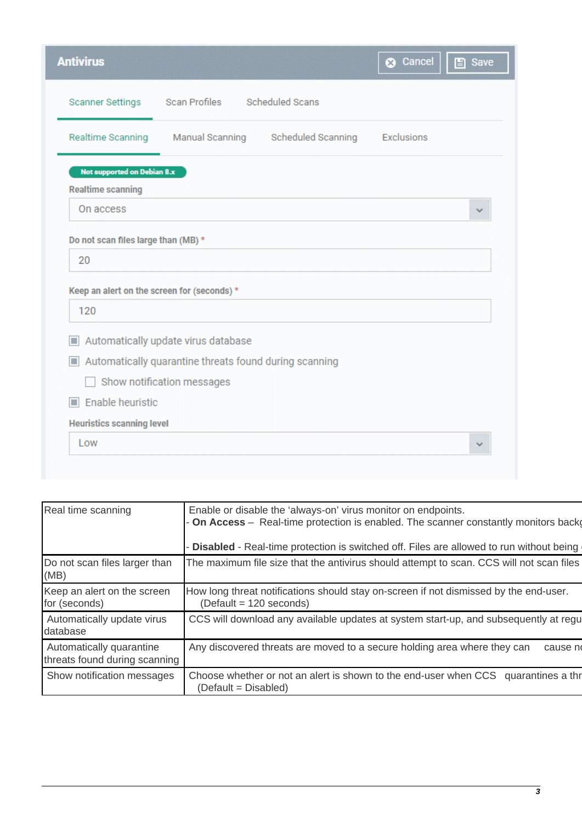| <b>Antivirus</b>                                                                         |                                                        |                                    | <b>@</b> Cancel | $\Box$ Save |
|------------------------------------------------------------------------------------------|--------------------------------------------------------|------------------------------------|-----------------|-------------|
| <b>Scanner Settings</b>                                                                  | Scan Profiles                                          | Scheduled Scans                    |                 |             |
| Realtime Scanning                                                                        |                                                        | Manual Scanning Scheduled Scanning | Exclusions      |             |
| Not supported on Debian 8.x                                                              |                                                        |                                    |                 |             |
| <b>Realtime scanning</b>                                                                 |                                                        |                                    |                 |             |
| On access                                                                                |                                                        |                                    |                 |             |
| Do not scan files large than (MB) *<br>20<br>Keep an alert on the screen for (seconds) * |                                                        |                                    |                 |             |
| 120                                                                                      |                                                        |                                    |                 |             |
| $\blacksquare$                                                                           | Automatically update virus database                    |                                    |                 |             |
| ш                                                                                        | Automatically quarantine threats found during scanning |                                    |                 |             |
|                                                                                          | Show notification messages                             |                                    |                 |             |
| Enable heuristic<br><b>In</b>                                                            |                                                        |                                    |                 |             |
| <b>Heuristics scanning level</b>                                                         |                                                        |                                    |                 |             |
|                                                                                          |                                                        |                                    |                 |             |

| Enable or disable the 'always-on' virus monitor on endpoints.<br>On Access - Real-time protection is enabled. The scanner constantly monitors back<br>Disabled - Real-time protection is switched off. Files are allowed to run without being |
|-----------------------------------------------------------------------------------------------------------------------------------------------------------------------------------------------------------------------------------------------|
| The maximum file size that the antivirus should attempt to scan. CCS will not scan files                                                                                                                                                      |
| How long threat notifications should stay on-screen if not dismissed by the end-user.<br>$(Default = 120 seconds)$                                                                                                                            |
| CCS will download any available updates at system start-up, and subsequently at regu                                                                                                                                                          |
| Any discovered threats are moved to a secure holding area where they can<br>cause n<br>threats found during scanning                                                                                                                          |
|                                                                                                                                                                                                                                               |
|                                                                                                                                                                                                                                               |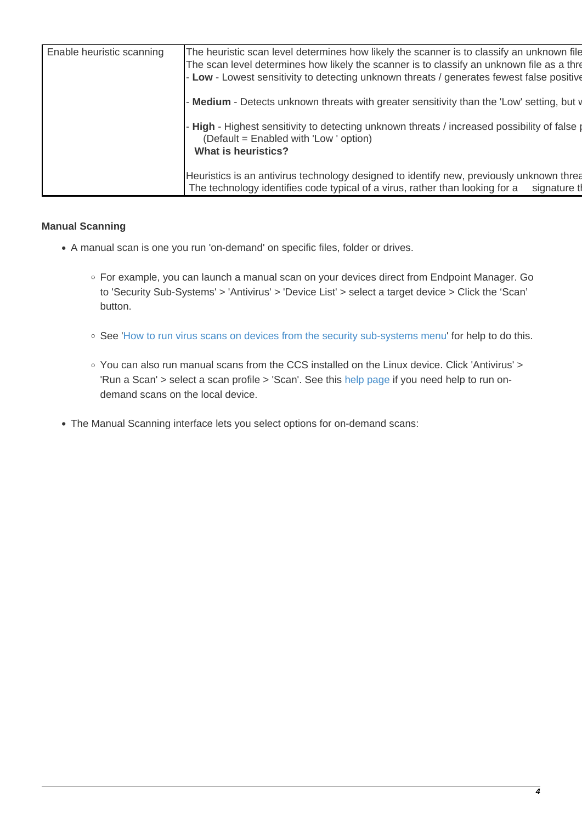| Enable heuristic scanning | The heuristic scan level determines how likely the scanner is to classify an unknown file<br>The scan level determines how likely the scanner is to classify an unknown file as a thre<br>- Low - Lowest sensitivity to detecting unknown threats / generates fewest false positive |  |
|---------------------------|-------------------------------------------------------------------------------------------------------------------------------------------------------------------------------------------------------------------------------------------------------------------------------------|--|
|                           | - Medium - Detects unknown threats with greater sensitivity than the 'Low' setting, but v                                                                                                                                                                                           |  |
|                           | - High - Highest sensitivity to detecting unknown threats / increased possibility of false p<br>(Default = Enabled with 'Low' option)<br>What is heuristics?                                                                                                                        |  |
|                           | Heuristics is an antivirus technology designed to identify new, previously unknown threa<br>The technology identifies code typical of a virus, rather than looking for a<br>signature th                                                                                            |  |

#### <span id="page-3-0"></span>**Manual Scanning**

- A manual scan is one you run 'on-demand' on specific files, folder or drives.
	- For example, you can launch a manual scan on your devices direct from Endpoint Manager. Go to 'Security Sub-Systems' > 'Antivirus' > 'Device List' > select a target device > Click the 'Scan' button.
	- See '[How to run virus scans on devices from the security sub-systems menu](https://wiki.itarian.com/frontend/web/topic/how-to-run-virus-scans-on-devices-from-the-security-sub-systems-menu)' for help to do this.
	- You can also run manual scans from the CCS installed on the Linux device. Click 'Antivirus' > 'Run a Scan' > select a scan profile > 'Scan'. See this [help page](https://community.itarian.com/help/topic-459-1-1008-15053-Run-a-Scan.html) if you need help to run ondemand scans on the local device.
- The Manual Scanning interface lets you select options for on-demand scans: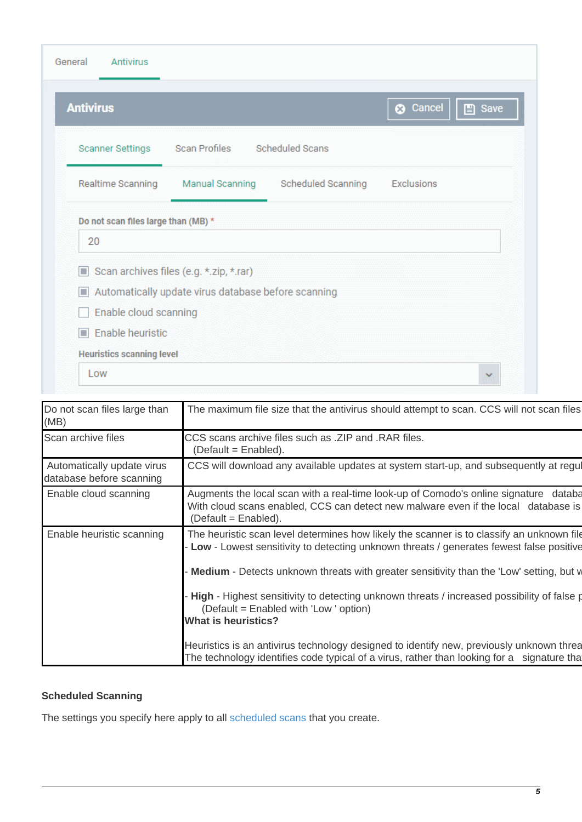| <b>Antivirus</b>                    |                                                     |                    | <b>3</b> Cancel   | $\Box$ Save |
|-------------------------------------|-----------------------------------------------------|--------------------|-------------------|-------------|
| <b>Scanner Settings</b>             | Scan Profiles                                       | Scheduled Scans    |                   |             |
| Realtime Scanning                   | <b>Manual Scanning</b>                              | Scheduled Scanning | <b>Exclusions</b> |             |
|                                     |                                                     |                    |                   |             |
|                                     |                                                     |                    |                   |             |
| 20                                  |                                                     |                    |                   |             |
|                                     | Scan archives files (e.g. *.zip, *.rar)             |                    |                   |             |
| Do not scan files large than (MB) * | Automatically update virus database before scanning |                    |                   |             |
| Enable cloud scanning               |                                                     |                    |                   |             |

<span id="page-4-1"></span>

| Do not scan files large than<br>(MB)                   | The maximum file size that the antivirus should attempt to scan. CCS will not scan files                                                                                                                                                                                                                                                                                                                                                              |
|--------------------------------------------------------|-------------------------------------------------------------------------------------------------------------------------------------------------------------------------------------------------------------------------------------------------------------------------------------------------------------------------------------------------------------------------------------------------------------------------------------------------------|
| Scan archive files                                     | CCS scans archive files such as .ZIP and .RAR files.<br>$(Default = Enabled).$                                                                                                                                                                                                                                                                                                                                                                        |
| Automatically update virus<br>database before scanning | CCS will download any available updates at system start-up, and subsequently at regul                                                                                                                                                                                                                                                                                                                                                                 |
| Enable cloud scanning                                  | Augments the local scan with a real-time look-up of Comodo's online signature databa<br>With cloud scans enabled, CCS can detect new malware even if the local database is<br>$(Default = Enabled).$                                                                                                                                                                                                                                                  |
| Enable heuristic scanning                              | The heuristic scan level determines how likely the scanner is to classify an unknown file<br>Low - Lowest sensitivity to detecting unknown threats / generates fewest false positive<br>Medium - Detects unknown threats with greater sensitivity than the 'Low' setting, but w<br>High - Highest sensitivity to detecting unknown threats / increased possibility of false p<br>(Default = Enabled with 'Low ' option)<br><b>What is heuristics?</b> |
|                                                        | Heuristics is an antivirus technology designed to identify new, previously unknown threa<br>The technology identifies code typical of a virus, rather than looking for a signature tha                                                                                                                                                                                                                                                                |

## <span id="page-4-0"></span>**Scheduled Scanning**

The settings you specify here apply to all [scheduled scans](#page-4-0) that you create.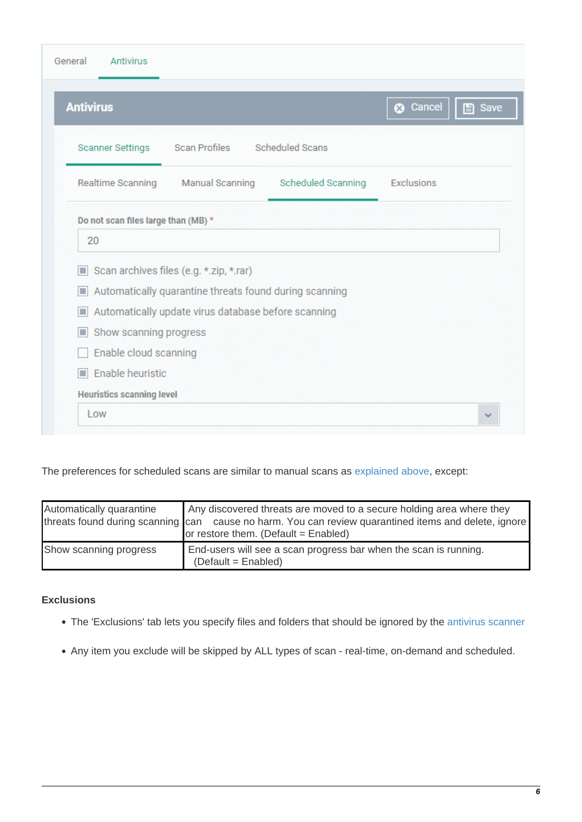| <b>Antivirus</b>        |                                                                                                               |                    | <b>8</b> Cancel | <b>E</b> Save |
|-------------------------|---------------------------------------------------------------------------------------------------------------|--------------------|-----------------|---------------|
| <b>Scanner Settings</b> | Scan Profiles Scheduled Scans                                                                                 |                    |                 |               |
| Realtime Scanning       | Manual Scanning                                                                                               | Scheduled Scanning | Exclusions      |               |
|                         | Scan archives files (e.g. *.zip, *.rar)                                                                       |                    |                 |               |
|                         |                                                                                                               |                    |                 |               |
| п<br>П                  | Automatically quarantine threats found during scanning<br>Automatically update virus database before scanning |                    |                 |               |
| Show scanning progress  |                                                                                                               |                    |                 |               |
| Enable cloud scanning   |                                                                                                               |                    |                 |               |

## The preferences for scheduled scans are similar to manual scans as [explained above](#page-4-1), except:

| Automatically quarantine | Any discovered threats are moved to a secure holding area where they<br>threats found during scanning can cause no harm. You can review quarantined items and delete, ignore<br>or restore them. (Default = Enabled) |
|--------------------------|----------------------------------------------------------------------------------------------------------------------------------------------------------------------------------------------------------------------|
| Show scanning progress   | End-users will see a scan progress bar when the scan is running.<br>$(Default = Enabled)$                                                                                                                            |

#### <span id="page-5-0"></span>**Exclusions**

- The 'Exclusions' tab lets you specify files and folders that should be ignored by the [antivirus scanner](https://antivirus.comodo.com/)
- Any item you exclude will be skipped by ALL types of scan real-time, on-demand and scheduled.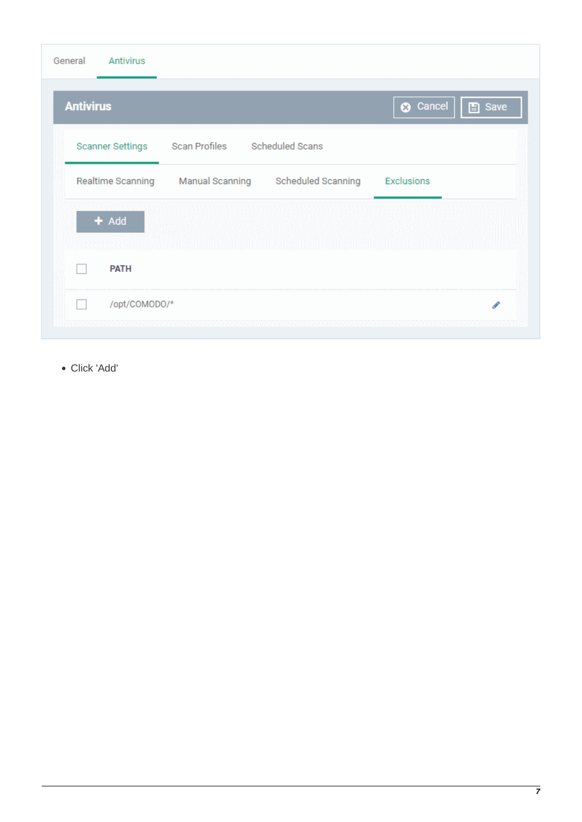| <b>Antivirus</b>                                                  |                     |
|-------------------------------------------------------------------|---------------------|
|                                                                   | Save ancel   ■ Save |
| Scheduled Scans<br>Scan Profiles<br><b>Scanner Settings</b>       |                     |
| Realtime Scanning<br><b>Manual Scanning</b><br>Scheduled Scanning | <b>Exclusions</b>   |
| $+$ Add                                                           |                     |
|                                                                   |                     |
| <b>PATH</b>                                                       |                     |
| /opt/COMODO/*                                                     |                     |

Click 'Add'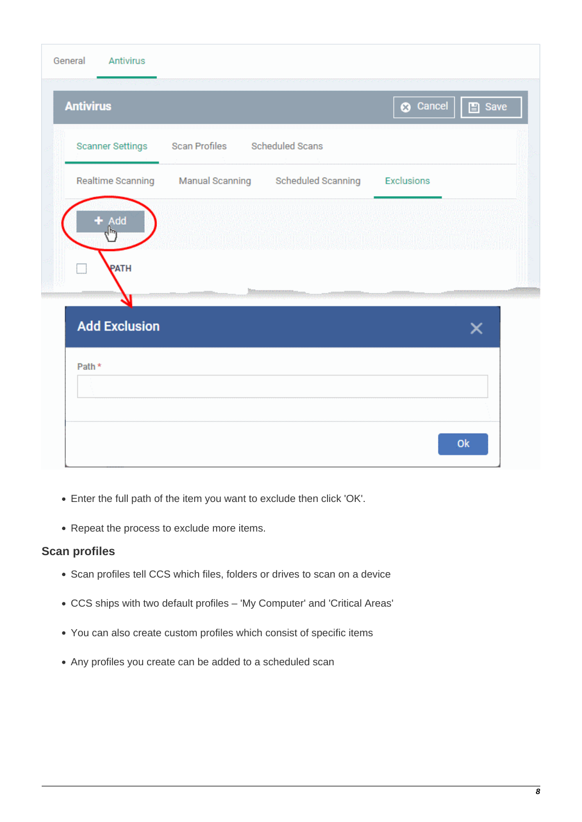| General<br><b>Antivirus</b> |                               |                                               |                 |             |
|-----------------------------|-------------------------------|-----------------------------------------------|-----------------|-------------|
| <b>Antivirus</b>            |                               |                                               | <b>3</b> Cancel | $\Box$ Save |
| Scanner Settings            | Scan Profiles Scheduled Scans |                                               |                 |             |
| Realtime Scanning           |                               | Manual Scanning Scheduled Scanning Exclusions |                 |             |
| $+$ Add                     |                               |                                               |                 |             |
| PATH                        |                               |                                               |                 |             |
| <b>Add Exclusion</b>        |                               |                                               |                 | x           |
| Path *                      |                               |                                               |                 |             |
|                             |                               |                                               |                 |             |
|                             |                               |                                               |                 | Ok          |

- Enter the full path of the item you want to exclude then click 'OK'.
- Repeat the process to exclude more items.

## <span id="page-7-0"></span>**Scan profiles**

- Scan profiles tell CCS which files, folders or drives to scan on a device
- CCS ships with two default profiles 'My Computer' and 'Critical Areas'
- You can also create custom profiles which consist of specific items
- Any profiles you create can be added to a scheduled scan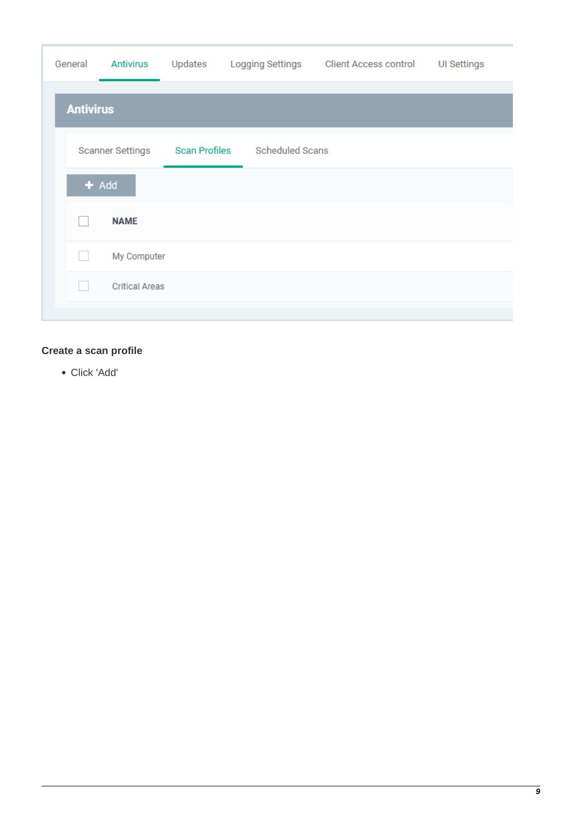| General | <b>Antivirus</b>        | Updates              |                        | Logging Settings Client Access control | <b>UI Settings</b> |
|---------|-------------------------|----------------------|------------------------|----------------------------------------|--------------------|
|         | <b>Antivirus</b>        |                      |                        |                                        |                    |
|         | <b>Scanner Settings</b> | <b>Scan Profiles</b> | <b>Scheduled Scans</b> |                                        |                    |
|         | $+$ Add                 |                      |                        |                                        |                    |
|         | <b>NAME</b>             |                      |                        |                                        |                    |
| H       | My Computer             |                      |                        |                                        |                    |
| e e     | <b>Critical Areas</b>   |                      |                        |                                        |                    |
|         |                         |                      |                        |                                        |                    |

## **Create a scan profile**

Click 'Add'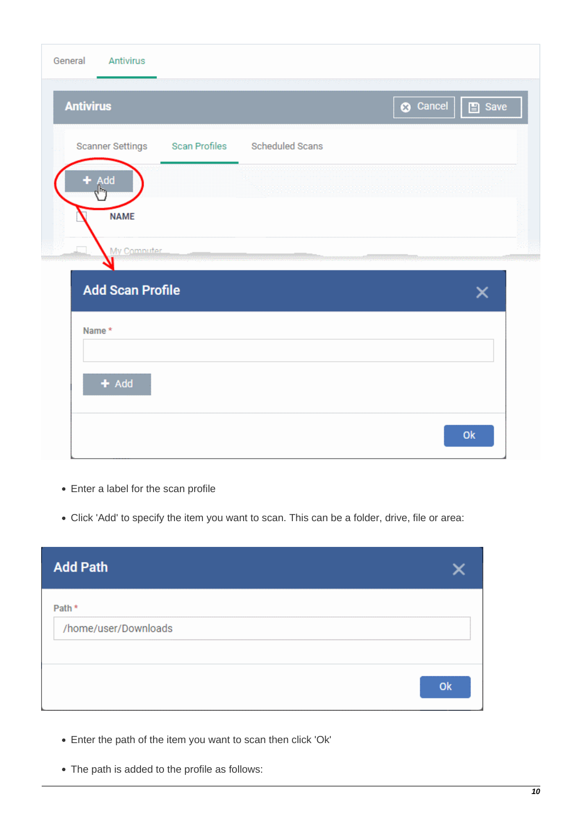| Antivirus<br>General                           |                   |
|------------------------------------------------|-------------------|
| <b>Antivirus</b>                               | C Cancel     Save |
| Scanner Settings Scan Profiles Scheduled Scans |                   |
| Add                                            |                   |
| <b>NAME</b>                                    |                   |
| My Computer                                    |                   |
| <b>Add Scan Profile</b><br>Name *              | ×                 |
|                                                |                   |
| $+$ Add                                        |                   |
|                                                | Ok                |

- Enter a label for the scan profile
- Click 'Add' to specify the item you want to scan. This can be a folder, drive, file or area:

| <b>Add Path</b>                |    |
|--------------------------------|----|
| Path *<br>/home/user/Downloads |    |
|                                | Ok |

- Enter the path of the item you want to scan then click 'Ok'
- The path is added to the profile as follows: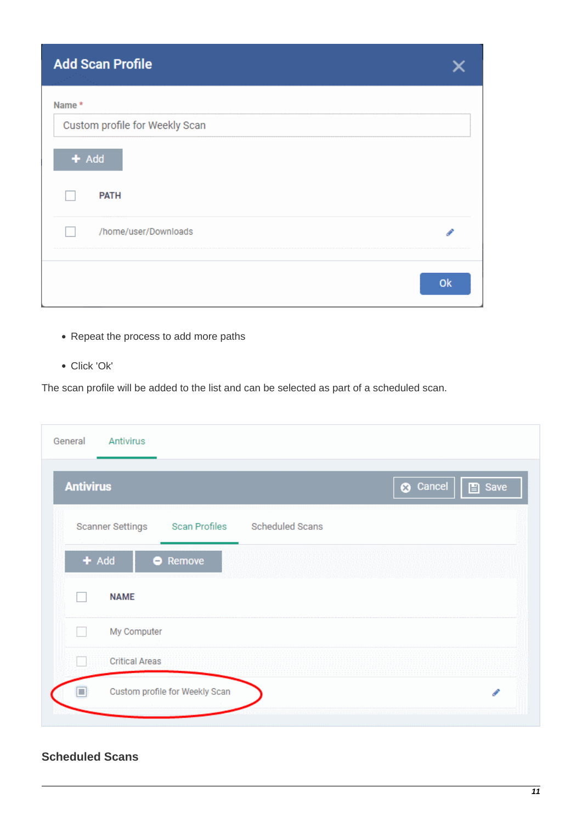| <b>Add Scan Profile</b>        |    |
|--------------------------------|----|
| Name *                         |    |
| Custom profile for Weekly Scan |    |
| $+$ Add                        |    |
| <b>PATH</b>                    |    |
| /home/user/Downloads           |    |
|                                | Ok |

- Repeat the process to add more paths
- Click 'Ok'

The scan profile will be added to the list and can be selected as part of a scheduled scan.

| General<br>Antivirus                                     |                                |
|----------------------------------------------------------|--------------------------------|
| <b>Antivirus</b>                                         | <b>3</b> Cancel<br>$\Box$ Save |
| Scan Profiles Scheduled Scans<br><b>Scanner Settings</b> |                                |
| $+$ Add<br><b>Remove</b>                                 |                                |
| <b>NAME</b>                                              |                                |
| My Computer                                              |                                |
| <b>Critical Areas</b>                                    |                                |
| Custom profile for Weekly Scan<br>◘                      | ℐ                              |
|                                                          |                                |

# <span id="page-10-0"></span>**Scheduled Scans**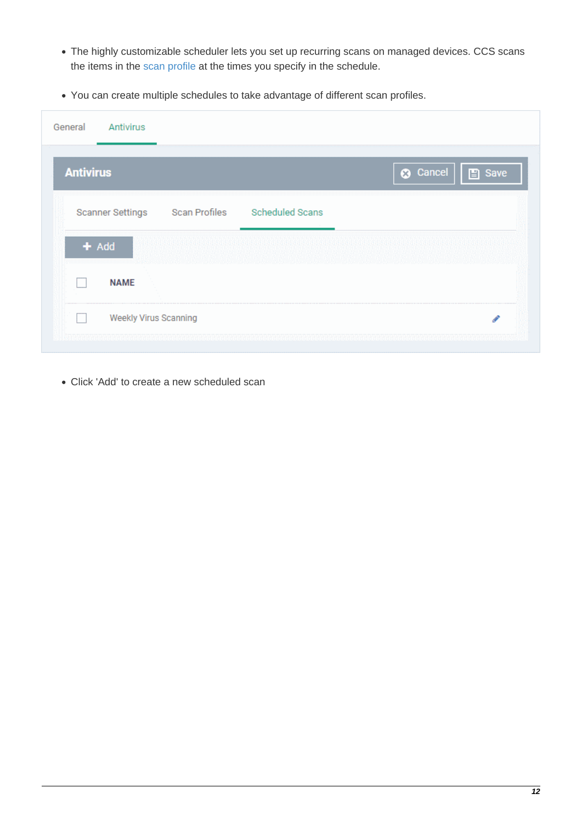- The highly customizable scheduler lets you set up recurring scans on managed devices. CCS scans the items in the [scan profile](#page-7-0) at the times you specify in the schedule.
- You can create multiple schedules to take advantage of different scan profiles.

| General<br>Antivirus    |               |                        |                                |  |
|-------------------------|---------------|------------------------|--------------------------------|--|
| <b>Antivirus</b>        |               |                        | <b>8</b> Cancel<br>$\Box$ Save |  |
| <b>Scanner Settings</b> | Scan Profiles | <b>Scheduled Scans</b> |                                |  |
| $+$ Add                 |               |                        |                                |  |
| <b>NAME</b>             |               |                        |                                |  |
|                         |               |                        |                                |  |

Click 'Add' to create a new scheduled scan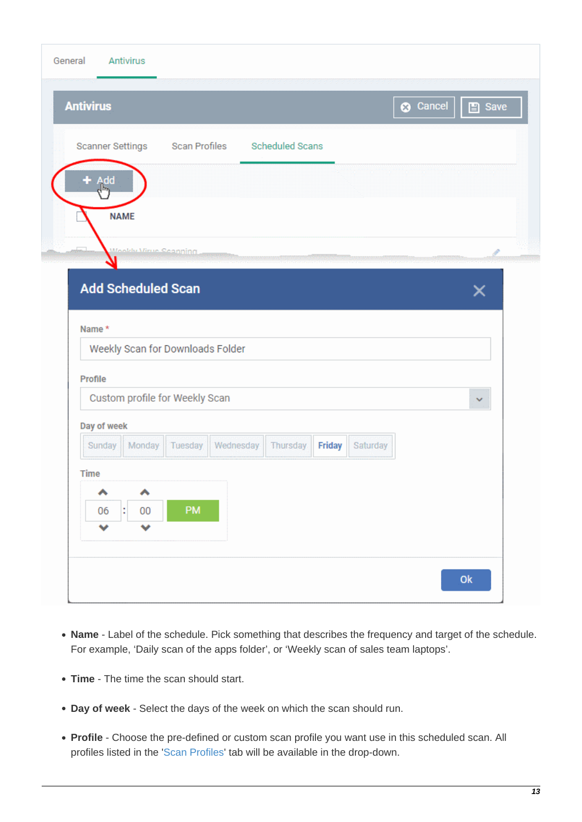| <b>Antivirus</b>          |                              |                                  |           |                        |        |          | <b>3</b> Cancel | $\Box$ Save  |
|---------------------------|------------------------------|----------------------------------|-----------|------------------------|--------|----------|-----------------|--------------|
| Scanner Settings          |                              | Scan Profiles                    |           | <b>Scheduled Scans</b> |        |          |                 |              |
| <b>bb/</b>                |                              |                                  |           |                        |        |          |                 |              |
| <b>NAME</b>               |                              |                                  |           |                        |        |          |                 |              |
|                           | <b>Mookly Virus Coanning</b> |                                  |           |                        |        |          |                 |              |
| <b>Add Scheduled Scan</b> |                              |                                  |           |                        |        |          |                 | ×            |
|                           |                              |                                  |           |                        |        |          |                 |              |
|                           |                              |                                  |           |                        |        |          |                 |              |
| Name *                    |                              |                                  |           |                        |        |          |                 |              |
|                           |                              | Weekly Scan for Downloads Folder |           |                        |        |          |                 |              |
| Profile                   |                              | Custom profile for Weekly Scan   |           |                        |        |          |                 | $\checkmark$ |
| Day of week               |                              |                                  |           |                        |        |          |                 |              |
| Sunday                    | Monday                       | Tuesday                          | Wednesday | Thursday               | Friday | Saturday |                 |              |
| <b>Time</b>               |                              |                                  |           |                        |        |          |                 |              |
| ヘ                         | ۸                            |                                  |           |                        |        |          |                 |              |
| 06                        | ÷<br>00                      | PM                               |           |                        |        |          |                 |              |
| v                         | v                            |                                  |           |                        |        |          |                 |              |
|                           |                              |                                  |           |                        |        |          |                 |              |

- **Name** Label of the schedule. Pick something that describes the frequency and target of the schedule. For example, 'Daily scan of the apps folder', or 'Weekly scan of sales team laptops'.
- **Time** The time the scan should start.
- **Day of week** Select the days of the week on which the scan should run.
- **Profile** Choose the pre-defined or custom scan profile you want use in this scheduled scan. All profiles listed in the '[Scan Profiles](#page-7-0)' tab will be available in the drop-down.